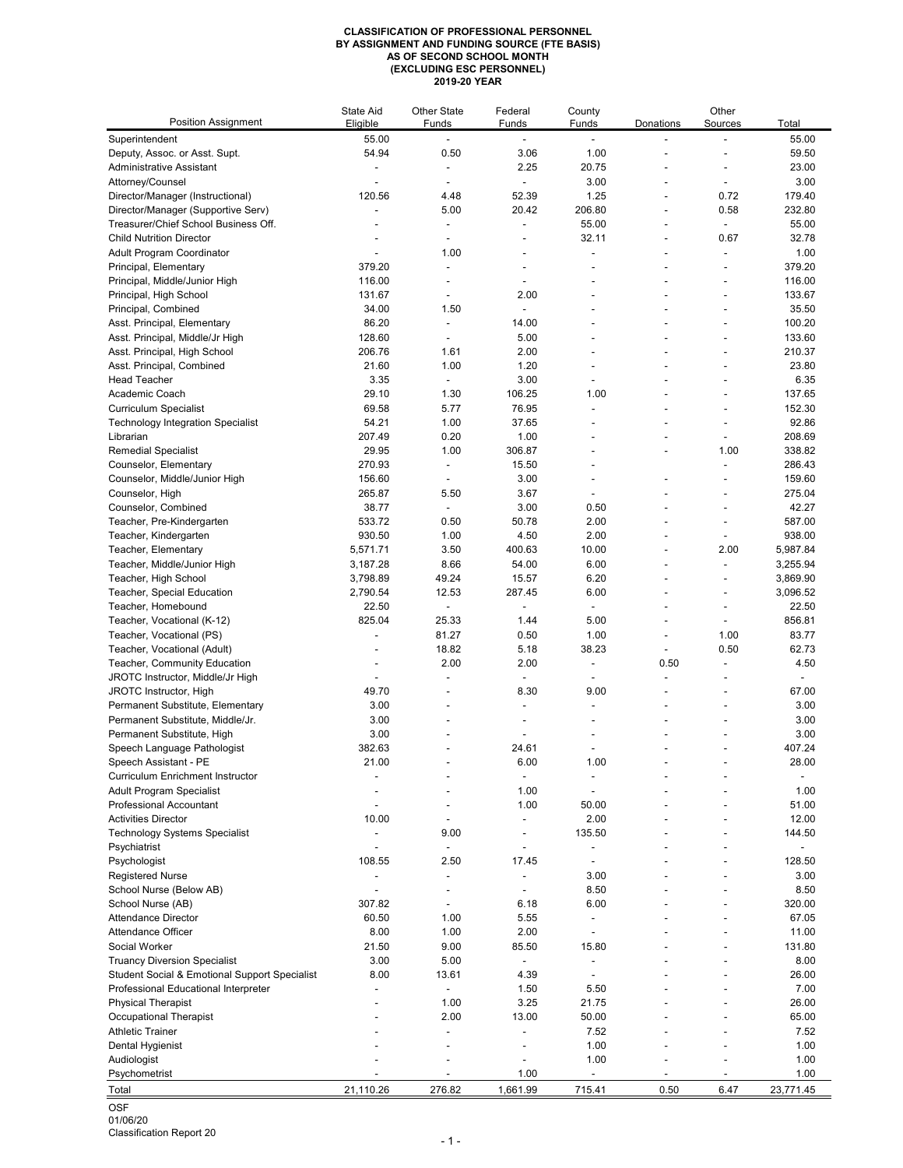## **CLASSIFICATION OF PROFESSIONAL PERSONNEL BY ASSIGNMENT AND FUNDING SOURCE (FTE BASIS) AS OF SECOND SCHOOL MONTH (EXCLUDING ESC PERSONNEL) 2019-20 YEAR**

| <b>Position Assignment</b>                                      | <b>State Aid</b><br>Eligible | <b>Other State</b><br>Funds | Federal                  | County         | Donations | Other                    | Total                |
|-----------------------------------------------------------------|------------------------------|-----------------------------|--------------------------|----------------|-----------|--------------------------|----------------------|
| Superintendent                                                  | 55.00                        |                             | Funds                    | Funds          |           | Sources                  | 55.00                |
| Deputy, Assoc. or Asst. Supt.                                   | 54.94                        | 0.50                        | 3.06                     | 1.00           |           |                          | 59.50                |
| <b>Administrative Assistant</b>                                 |                              |                             | 2.25                     | 20.75          |           | $\blacksquare$           | 23.00                |
| Attorney/Counsel                                                |                              |                             |                          | 3.00           |           |                          | 3.00                 |
| Director/Manager (Instructional)                                | 120.56                       | 4.48                        | 52.39                    | 1.25           |           | 0.72                     | 179.40               |
| Director/Manager (Supportive Serv)                              |                              | 5.00                        | 20.42                    | 206.80         |           | 0.58                     | 232.80               |
| Treasurer/Chief School Business Off.                            |                              |                             |                          | 55.00          |           |                          | 55.00                |
| <b>Child Nutrition Director</b>                                 |                              | $\blacksquare$              |                          | 32.11          |           | 0.67                     | 32.78                |
| <b>Adult Program Coordinator</b>                                |                              | 1.00                        |                          |                |           | $\overline{\phantom{a}}$ | 1.00                 |
| Principal, Elementary                                           | 379.20                       |                             |                          |                |           | ۰                        | 379.20               |
| Principal, Middle/Junior High                                   | 116.00                       |                             | $\blacksquare$           |                |           |                          | 116.00               |
| Principal, High School                                          | 131.67                       |                             | 2.00                     |                |           | $\overline{a}$           | 133.67               |
| Principal, Combined                                             | 34.00                        | 1.50                        |                          |                |           |                          | 35.50                |
| Asst. Principal, Elementary                                     | 86.20<br>128.60              |                             | 14.00<br>5.00            |                |           |                          | 100.20<br>133.60     |
| Asst. Principal, Middle/Jr High<br>Asst. Principal, High School | 206.76                       | $\blacksquare$<br>1.61      | 2.00                     |                |           | $\blacksquare$           | 210.37               |
| Asst. Principal, Combined                                       | 21.60                        | 1.00                        | 1.20                     |                |           |                          | 23.80                |
| <b>Head Teacher</b>                                             | 3.35                         | $\sim$                      | 3.00                     |                |           |                          | 6.35                 |
| Academic Coach                                                  | 29.10                        | 1.30                        | 106.25                   | 1.00           |           |                          | 137.65               |
| <b>Curriculum Specialist</b>                                    | 69.58                        | 5.77                        | 76.95                    |                |           |                          | 152.30               |
| <b>Technology Integration Specialist</b>                        | 54.21                        | 1.00                        | 37.65                    |                |           |                          | 92.86                |
| Librarian                                                       | 207.49                       | 0.20                        | 1.00                     | $\blacksquare$ |           |                          | 208.69               |
| <b>Remedial Specialist</b>                                      | 29.95                        | 1.00                        | 306.87                   |                |           | 1.00                     | 338.82               |
| Counselor, Elementary                                           | 270.93                       |                             | 15.50                    |                |           |                          | 286.43               |
| Counselor, Middle/Junior High                                   | 156.60                       |                             | 3.00                     |                |           |                          | 159.60               |
| Counselor, High                                                 | 265.87                       | 5.50                        | 3.67                     |                |           |                          | 275.04               |
| Counselor, Combined                                             | 38.77                        |                             | 3.00                     | 0.50           |           |                          | 42.27                |
| Teacher, Pre-Kindergarten                                       | 533.72                       | 0.50                        | 50.78                    | 2.00           |           |                          | 587.00               |
| Teacher, Kindergarten                                           | 930.50                       | 1.00                        | 4.50                     | 2.00           |           |                          | 938.00               |
| Teacher, Elementary<br>Teacher, Middle/Junior High              | 5,571.71<br>3,187.28         | 3.50<br>8.66                | 400.63<br>54.00          | 10.00<br>6.00  |           | 2.00                     | 5,987.84<br>3,255.94 |
| Teacher, High School                                            | 3,798.89                     | 49.24                       | 15.57                    | 6.20           |           |                          | 3,869.90             |
| <b>Teacher, Special Education</b>                               | 2,790.54                     | 12.53                       | 287.45                   | 6.00           |           |                          | 3,096.52             |
| Teacher, Homebound                                              | 22.50                        |                             |                          |                |           |                          | 22.50                |
| Teacher, Vocational (K-12)                                      | 825.04                       | 25.33                       | 1.44                     | 5.00           |           |                          | 856.81               |
| Teacher, Vocational (PS)                                        |                              | 81.27                       | 0.50                     | 1.00           |           | 1.00                     | 83.77                |
| Teacher, Vocational (Adult)                                     |                              | 18.82                       | 5.18                     | 38.23          |           | 0.50                     | 62.73                |
| Teacher, Community Education                                    |                              | 2.00                        | 2.00                     |                | 0.50      |                          | 4.50                 |
| JROTC Instructor, Middle/Jr High                                |                              |                             |                          |                |           |                          |                      |
| JROTC Instructor, High                                          | 49.70                        |                             | 8.30                     | 9.00           |           |                          | 67.00                |
| Permanent Substitute, Elementary                                | 3.00                         |                             | $\overline{\phantom{a}}$ | $\blacksquare$ |           | $\blacksquare$           | 3.00                 |
| Permanent Substitute, Middle/Jr.                                | 3.00                         |                             |                          |                |           |                          | 3.00                 |
| Permanent Substitute, High                                      | 3.00                         |                             |                          |                |           |                          | 3.00                 |
| Speech Language Pathologist<br>Speech Assistant - PE            | 382.63<br>21.00              |                             | 24.61<br>6.00            | 1.00           |           |                          | 407.24<br>28.00      |
| <b>Curriculum Enrichment Instructor</b>                         |                              |                             |                          |                |           |                          |                      |
| <b>Adult Program Specialist</b>                                 |                              |                             | 1.00                     |                |           |                          | 1.00                 |
| <b>Professional Accountant</b>                                  |                              |                             | 1.00                     | 50.00          |           |                          | 51.00                |
| <b>Activities Director</b>                                      | 10.00                        |                             |                          | 2.00           |           |                          | 12.00                |
| <b>Technology Systems Specialist</b>                            |                              | 9.00                        | $\blacksquare$           | 135.50         |           |                          | 144.50               |
| Psychiatrist                                                    |                              |                             |                          |                |           |                          |                      |
| Psychologist                                                    | 108.55                       | 2.50                        | 17.45                    |                |           |                          | 128.50               |
| <b>Registered Nurse</b>                                         |                              |                             |                          | 3.00           |           |                          | 3.00                 |
| School Nurse (Below AB)                                         |                              |                             |                          | 8.50           |           |                          | 8.50                 |
| School Nurse (AB)                                               | 307.82                       |                             | 6.18                     | 6.00           |           |                          | 320.00               |
| <b>Attendance Director</b>                                      | 60.50                        | 1.00                        | 5.55                     |                |           |                          | 67.05                |
| Attendance Officer                                              | 8.00                         | 1.00                        | 2.00                     |                |           |                          | 11.00                |
| Social Worker<br><b>Truancy Diversion Specialist</b>            | 21.50<br>3.00                | 9.00<br>5.00                | 85.50                    | 15.80          |           |                          | 131.80<br>8.00       |
| <b>Student Social &amp; Emotional Support Specialist</b>        | 8.00                         | 13.61                       | 4.39                     |                |           |                          | 26.00                |
| Professional Educational Interpreter                            |                              |                             | 1.50                     | 5.50           |           |                          | 7.00                 |
| <b>Physical Therapist</b>                                       |                              | 1.00                        | 3.25                     | 21.75          |           |                          | 26.00                |
| <b>Occupational Therapist</b>                                   |                              | 2.00                        | 13.00                    | 50.00          |           |                          | 65.00                |
| <b>Athletic Trainer</b>                                         |                              |                             |                          | 7.52           |           |                          | 7.52                 |
| Dental Hygienist                                                |                              |                             |                          | 1.00           |           |                          | 1.00                 |
| Audiologist                                                     |                              |                             |                          | 1.00           |           |                          | 1.00                 |
| Psychometrist                                                   |                              |                             | 1.00                     |                |           |                          | 1.00                 |
| Total                                                           | 21,110.26                    | 276.82                      | 1,661.99                 | 715.41         | 0.50      | 6.47                     | 23,771.45            |
|                                                                 |                              |                             |                          |                |           |                          |                      |

OSF

01/06/20

Classification Report 20 - 1 -